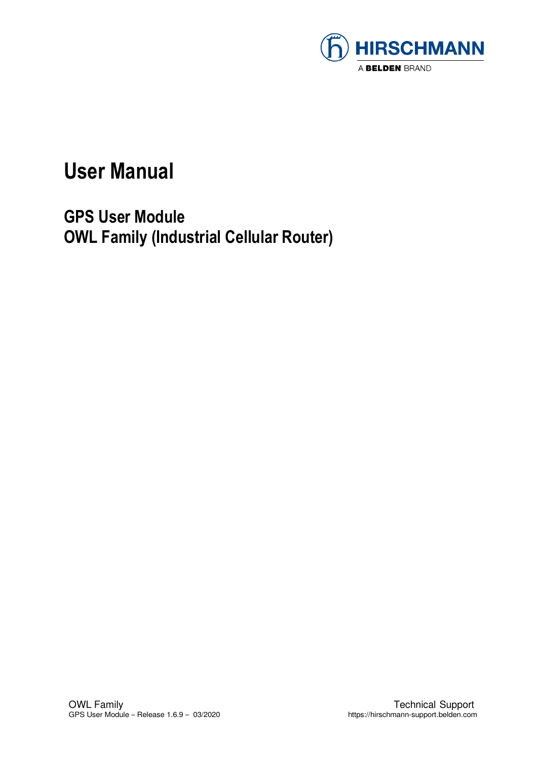

### **User Manual**

**GPS User Module OWL Family (Industrial Cellular Router)**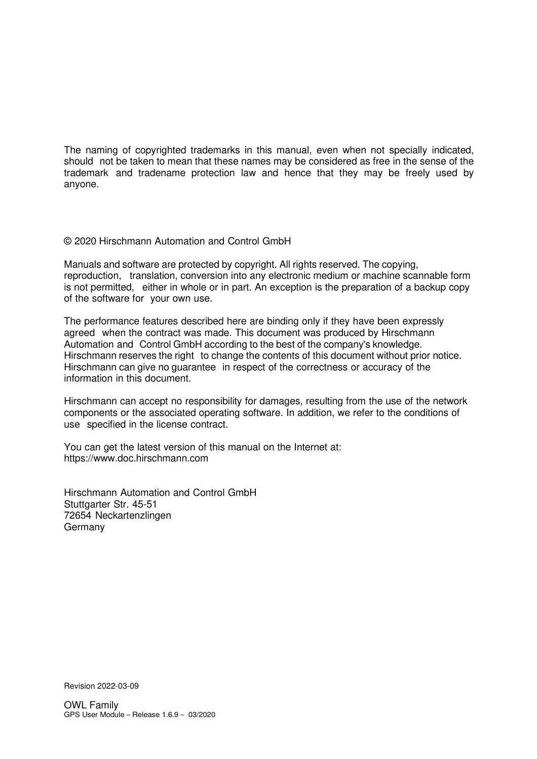The naming of copyrighted trademarks in this manual, even when not specially indicated, should not be taken to mean that these names may be considered as free in the sense of the trademark and tradename protection law and hence that they may be freely used by anyone.

#### © 2020 Hirschmann Automation and Control GmbH

Manuals and software are protected by copyright. All rights reserved. The copying, reproduction, translation, conversion into any electronic medium or machine scannable form is not permitted, either in whole or in part. An exception is the preparation of a backup copy of the software for your own use.

The performance features described here are binding only if they have been expressly agreed when the contract was made. This document was produced by Hirschmann Automation and Control GmbH according to the best of the company's knowledge. Hirschmann reserves the right to change the contents of this document without prior notice. Hirschmann can give no guarantee in respect of the correctness or accuracy of the information in this document.

Hirschmann can accept no responsibility for damages, resulting from the use of the network components or the associated operating software. In addition, we refer to the conditions of use specified in the license contract.

You can get the latest version of this manual on the Internet at: https://www.doc.hirschmann.com

Hirschmann Automation and Control GmbH Stuttgarter Str. 45-51 72654 Neckartenzlingen Germany

Revision 2022-03-09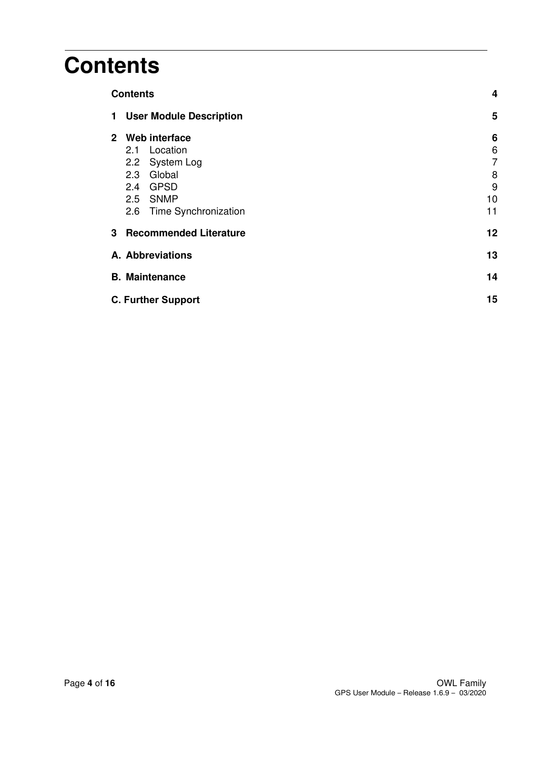### **Contents**

| <b>Contents</b>                                                                                                                            |                                   |
|--------------------------------------------------------------------------------------------------------------------------------------------|-----------------------------------|
| <b>User Module Description</b><br>1                                                                                                        | 5                                 |
| Web interface<br>$\mathbf{2}$<br>2.1 Location<br>2.2 System Log<br>Global<br>2.3<br>GPSD<br>2.4<br>2.5 SNMP<br>Time Synchronization<br>2.6 | 6<br>6<br>7<br>8<br>9<br>10<br>11 |
| <b>Recommended Literature</b><br>3                                                                                                         | 12                                |
| A. Abbreviations                                                                                                                           | 13                                |
| <b>B.</b> Maintenance                                                                                                                      | 14                                |
| <b>C. Further Support</b>                                                                                                                  | 15                                |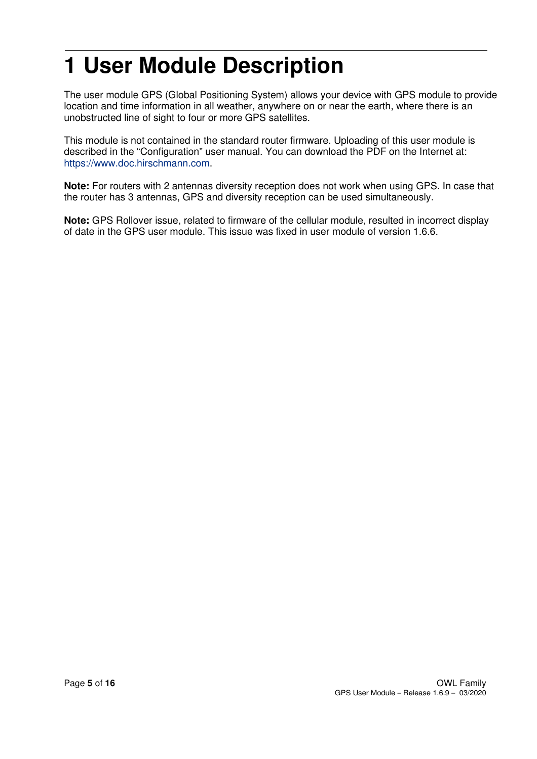## **1 User Module Description**

The user module GPS (Global Positioning System) allows your device with GPS module to provide location and time information in all weather, anywhere on or near the earth, where there is an unobstructed line of sight to four or more GPS satellites.

This module is not contained in the standard router firmware. Uploading of this user module is described in the "Configuration" user manual. You can download the PDF on the Internet at: https://www.doc.hirschmann.com.

**Note:** For routers with 2 antennas diversity reception does not work when using GPS. In case that the router has 3 antennas, GPS and diversity reception can be used simultaneously.

**Note:** GPS Rollover issue, related to firmware of the cellular module, resulted in incorrect display of date in the GPS user module. This issue was fixed in user module of version 1.6.6.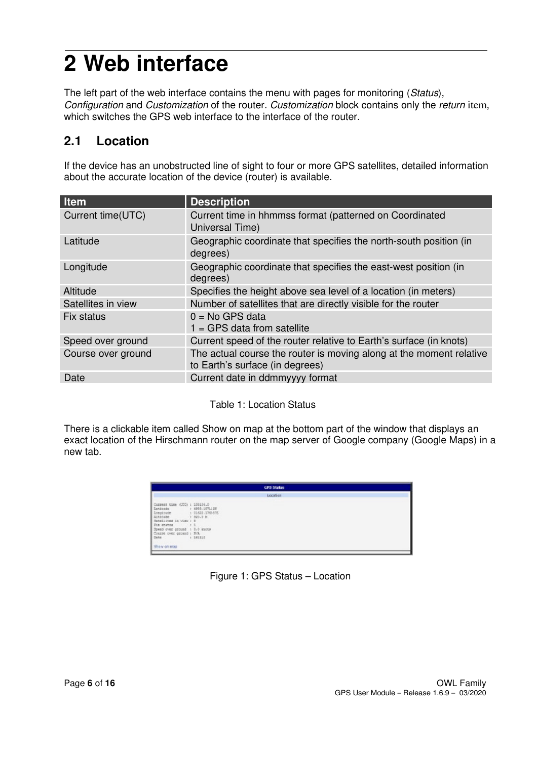# **2 Web interface**

The left part of the web interface contains the menu with pages for monitoring (Status), Configuration and Customization of the router. Customization block contains only the return item, which switches the GPS web interface to the interface of the router.

#### **2.1 Location**

If the device has an unobstructed line of sight to four or more GPS satellites, detailed information about the accurate location of the device (router) is available.

| <b>Item</b>        | <b>Description</b>                                                                                     |
|--------------------|--------------------------------------------------------------------------------------------------------|
| Current time(UTC)  | Current time in hhmmss format (patterned on Coordinated<br>Universal Time)                             |
| Latitude           | Geographic coordinate that specifies the north-south position (in<br>degrees)                          |
| Longitude          | Geographic coordinate that specifies the east-west position (in<br>degrees)                            |
| Altitude           | Specifies the height above sea level of a location (in meters)                                         |
| Satellites in view | Number of satellites that are directly visible for the router                                          |
| Fix status         | $0 = No GPS data$<br>$1 = GPS$ data from satellite                                                     |
| Speed over ground  | Current speed of the router relative to Earth's surface (in knots)                                     |
| Course over ground | The actual course the router is moving along at the moment relative<br>to Earth's surface (in degrees) |
| Date               | Current date in ddmmyyyy format                                                                        |

Table 1: Location Status

There is a clickable item called Show on map at the bottom part of the window that displays an exact location of the Hirschmann router on the map server of Google company (Google Maps) in a new tab.

|                                                                                                                                                                                                                                                                   | <b>GPS States</b> |  |
|-------------------------------------------------------------------------------------------------------------------------------------------------------------------------------------------------------------------------------------------------------------------|-------------------|--|
|                                                                                                                                                                                                                                                                   | Location          |  |
| Company time (UDC) : 199196.0<br>Lanicude : 4950.1071125<br><b>Longitude</b><br>1 01822,1765575<br>A1410ade<br>+ 320.0 M<br>Sabalizies in View : 8<br>Fix status<br>Speed over ground : 0.0 knots<br>Counse over ground : S/A<br>Delie<br>1.381352<br>Shew on map |                   |  |

| Figure 1: GPS Status - Location |  |
|---------------------------------|--|
|---------------------------------|--|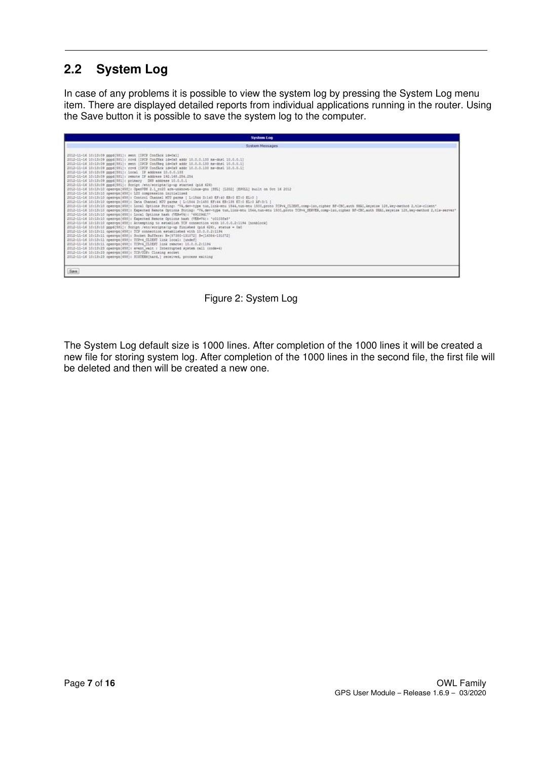### **2.2 System Log**

In case of any problems it is possible to view the system log by pressing the System Log menu item. There are displayed detailed reports from individual applications running in the router. Using the Save button it is possible to save the system log to the computer.

| <b>System Log</b>                                                                                                                                                                                                                                                                                                                                                                                                                                                                                                                                                                                                                                                                                                                                                                                                                                                                                                                                                                                                                                                                                                                                                                                                                                                                                                                                                                                                                                                                                                                                                                                                                                                                                                                                                                                                                                                                                                                                                                                                                                                                                                                                                                                                                                                                                                                                                                               |
|-------------------------------------------------------------------------------------------------------------------------------------------------------------------------------------------------------------------------------------------------------------------------------------------------------------------------------------------------------------------------------------------------------------------------------------------------------------------------------------------------------------------------------------------------------------------------------------------------------------------------------------------------------------------------------------------------------------------------------------------------------------------------------------------------------------------------------------------------------------------------------------------------------------------------------------------------------------------------------------------------------------------------------------------------------------------------------------------------------------------------------------------------------------------------------------------------------------------------------------------------------------------------------------------------------------------------------------------------------------------------------------------------------------------------------------------------------------------------------------------------------------------------------------------------------------------------------------------------------------------------------------------------------------------------------------------------------------------------------------------------------------------------------------------------------------------------------------------------------------------------------------------------------------------------------------------------------------------------------------------------------------------------------------------------------------------------------------------------------------------------------------------------------------------------------------------------------------------------------------------------------------------------------------------------------------------------------------------------------------------------------------------------|
| <b>System Messages</b>                                                                                                                                                                                                                                                                                                                                                                                                                                                                                                                                                                                                                                                                                                                                                                                                                                                                                                                                                                                                                                                                                                                                                                                                                                                                                                                                                                                                                                                                                                                                                                                                                                                                                                                                                                                                                                                                                                                                                                                                                                                                                                                                                                                                                                                                                                                                                                          |
| 2012-11-16 10:13:09 pppd(551): mest [IFCF Conflick 1d=0x1]<br>2012-11-16 10:13:09 pppd(581): rovd (IPCP Conflax 1d=0x8 addr 10.0.0.133 ms-dns1 10.0.0.1)<br>2012-11-16 10:13:09 pppd 5811: sent [IPCP ConfReg 1d=0x9 addr 10.0.0.133 ms-dhs1 10.0.0.11<br>2012-11-16 10:13:09 pppd(581): rovd (IPCF Conflok 1d+Ox9 addr 10.0.0.131 ma-dns1 10.0.0.1)<br>2012-11-14 10:13:09 prodite11: local IP address 10.0.0.133<br>2012-11-14 10:13:09 pppd[581]: remote IF address 192.148.254.254<br>2012-11-16 10:13:09 pppd[581]: primary [385 address 10.0.0.1]<br>2012-11-16 10:13:09 pppd[581]: Script /etc/scripts/ip-up started (pid 626)<br>2012-11-16 10:13:10 openvsn (458): OpenV9N 2.1 ro20 arm-unknown-linux-pnu (85L) (1202) (EPOLL) built on Oct 16 2012<br>2012-11-14 10:13:10 openvgn[458]: 120 compression initialised<br>2012-11-14 10:13:10 openvgn (498): Control Chennel HTU parms { L:1544 D:140 EF:40 EB:0 ET:0 EL:0 }<br>2012-11-14 10:13:10 (perven)458): Data Channel NTV parms [ L:1544 D:1450 EF:44 EB:155 ET:0 EL:0 AF:3/1 ]<br>2012-11-16 10:13:10 openvgn[458]: Local Options String: "V4,dev-type tun.link-mtu 1544.tun-mtu 1500.proto TCRv4_CLIENT.comp-lzo.cipher BF-CBC.auth SHAL.keystze 128.key-method 2.tls-client'<br>2012-11-16 10:13:10 openvgn(658); Expected Remota Optiona String: "Vs.dev-type tun.link-mtu 1946.tun-mtu 1900.proto TCPvs.dENVER.comp-lso.cipher NF-CRC.auth INAL.keyeize 128.key-method 2.tia-server*<br>2012-11-14 10:13:10 openvgn(658): iocal Options hash (VER=V4): '#9109d17'<br>2012-11-16 10:13:10 openvon(658): Expected Remote Options hash (VER=V4): "c0103fa8"<br>2012-11-16 10:13:10 openvgn(658): Astempting to establish TCF connection with 10.0.0.2:1194 (nonblook)<br>2012-11-16 10:13:10 sppd [581]: Script /etc/scripts/1p-up finished (pid 626), status = 0x0<br>2012-11-16 10:13:11 coenven(698): TCP connection established with 10.0.0.2:1194<br>2012-11-16 10:13:11 openvpn(458): Socket Buffers: R=(87380-131072) S=(16384-131072)<br>2012-11-16 10:13:11 coenvon(658): TCPV4 CLIENT link local: [undef]<br>2012-11-16 10:13:11 commun[658]: TCPv6 CLIDIT link remote: 10.0.0.2:1196<br>2012-11-16 10:13:23 openvgn[658]: event wait : Interropted system call crode=4)<br>2012-11-16 10:13:25 openvgn[658]: TCP/UDF: Cloming mocket<br>2012-11-16 10:13:23 openvgn[458]: SIGIERM[hard,] received, process exiting |
| Save.                                                                                                                                                                                                                                                                                                                                                                                                                                                                                                                                                                                                                                                                                                                                                                                                                                                                                                                                                                                                                                                                                                                                                                                                                                                                                                                                                                                                                                                                                                                                                                                                                                                                                                                                                                                                                                                                                                                                                                                                                                                                                                                                                                                                                                                                                                                                                                                           |

Figure 2: System Log

The System Log default size is 1000 lines. After completion of the 1000 lines it will be created a new file for storing system log. After completion of the 1000 lines in the second file, the first file will be deleted and then will be created a new one.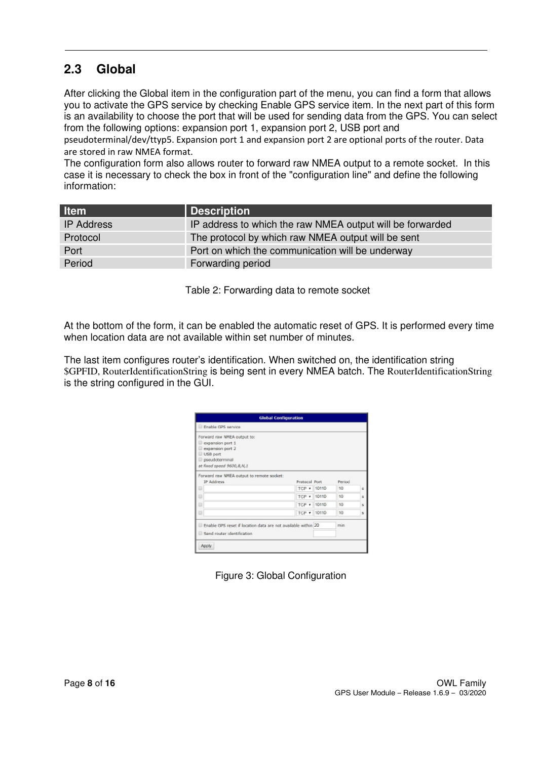### **2.3 Global**

After clicking the Global item in the configuration part of the menu, you can find a form that allows you to activate the GPS service by checking Enable GPS service item. In the next part of this form is an availability to choose the port that will be used for sending data from the GPS. You can select from the following options: expansion port 1, expansion port 2, USB port and

pseudoterminal/dev/ttyp5. Expansion port 1 and expansion port 2 are optional ports of the router. Data are stored in raw NMEA format.

The configuration form also allows router to forward raw NMEA output to a remote socket. In this case it is necessary to check the box in front of the "configuration line" and define the following information:

| <b>Item</b>       | Description                                               |
|-------------------|-----------------------------------------------------------|
| <b>IP Address</b> | IP address to which the raw NMEA output will be forwarded |
| Protocol          | The protocol by which raw NMEA output will be sent        |
| Port              | Port on which the communication will be underway          |
| Period            | Forwarding period                                         |

Table 2: Forwarding data to remote socket

At the bottom of the form, it can be enabled the automatic reset of GPS. It is performed every time when location data are not available within set number of minutes.

The last item configures router's identification. When switched on, the identification string \$GPFID, RouterIdentificationString is being sent in every NMEA batch. The RouterIdentificationString is the string configured in the GUI.

| <b>Global Configuration</b>                                   |               |  |        |    |
|---------------------------------------------------------------|---------------|--|--------|----|
| Enable GPS service                                            |               |  |        |    |
| Forward raw NMEA output to:                                   |               |  |        |    |
| expansion port 1                                              |               |  |        |    |
| expansion port 2                                              |               |  |        |    |
| USB port                                                      |               |  |        |    |
| pseudoterminal                                                |               |  |        |    |
| at fixed speed 9600,8,N,1                                     |               |  |        |    |
| Forward raw NMEA output to remote socket:                     |               |  |        |    |
| IP Address                                                    | Protocol Port |  | Period |    |
| ⊟                                                             | TCP + 10110   |  | 10     | £. |
| Đ                                                             | TCP + 10110   |  | 10     | s  |
| ⊟                                                             | TCP + 10110   |  | 10     | s  |
| Đ                                                             | TCP + 10110   |  | 10     | ×. |
| Enable GPS reset if location data are not available within 20 |               |  | min    |    |
| Send router identification                                    |               |  |        |    |
|                                                               |               |  |        |    |

Figure 3: Global Configuration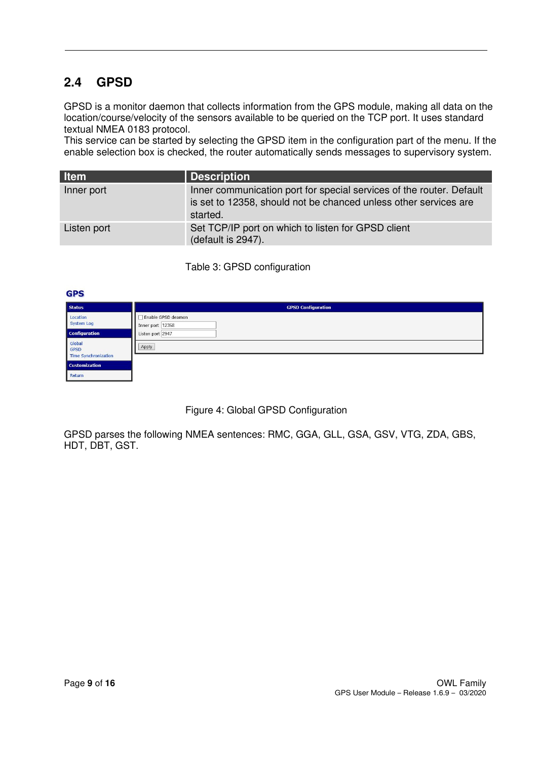### **2.4 GPSD**

GPSD is a monitor daemon that collects information from the GPS module, making all data on the location/course/velocity of the sensors available to be queried on the TCP port. It uses standard textual NMEA 0183 protocol.

This service can be started by selecting the GPSD item in the configuration part of the menu. If the enable selection box is checked, the router automatically sends messages to supervisory system.

| <b>Item</b> | Description                                                                                                                                          |
|-------------|------------------------------------------------------------------------------------------------------------------------------------------------------|
| Inner port  | Inner communication port for special services of the router. Default<br>is set to 12358, should not be chanced unless other services are<br>started. |
| Listen port | Set TCP/IP port on which to listen for GPSD client<br>(default is 2947).                                                                             |

Table 3: GPSD configuration

| <b>GPS</b>                                           |                                        |
|------------------------------------------------------|----------------------------------------|
| <b>Status</b>                                        | <b>GPSD Configuration</b>              |
| Location<br><b>System Log</b>                        | Enable GPSD deamon<br>Inner port 12358 |
| <b>Configuration</b>                                 | Listen port 2947                       |
| Global<br><b>GPSD</b><br><b>Time Synchronization</b> | Apply                                  |
| <b>Customization</b>                                 |                                        |
| Return                                               |                                        |

Figure 4: Global GPSD Configuration

GPSD parses the following NMEA sentences: RMC, GGA, GLL, GSA, GSV, VTG, ZDA, GBS, HDT, DBT, GST.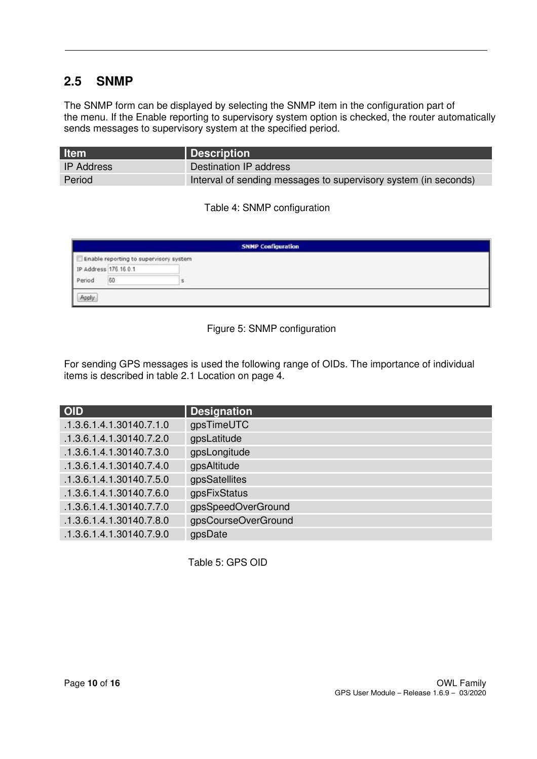#### **2.5 SNMP**

The SNMP form can be displayed by selecting the SNMP item in the configuration part of the menu. If the Enable reporting to supervisory system option is checked, the router automatically sends messages to supervisory system at the specified period.

| <b>Item</b>       | Description                                                     |
|-------------------|-----------------------------------------------------------------|
| <b>IP Address</b> | Destination IP address                                          |
| Period            | Interval of sending messages to supervisory system (in seconds) |

Table 4: SNMP configuration

|                       |                                        | <b>SNMP Configuration</b> |
|-----------------------|----------------------------------------|---------------------------|
|                       | Enable reporting to supervisory system |                           |
| IP Address 176.16.0.1 |                                        |                           |
| Period                | 60                                     |                           |

#### Figure 5: SNMP configuration

For sending GPS messages is used the following range of OIDs. The importance of individual items is described in table 2.1 Location on page 4.

| <b>OID</b>               | <b>Designation</b>  |
|--------------------------|---------------------|
| .1.3.6.1.4.1.30140.7.1.0 | gpsTimeUTC          |
| .1.3.6.1.4.1.30140.7.2.0 | gpsLatitude         |
| .1.3.6.1.4.1.30140.7.3.0 | gpsLongitude        |
| .1.3.6.1.4.1.30140.7.4.0 | gpsAltitude         |
| .1.3.6.1.4.1.30140.7.5.0 | gpsSatellites       |
| .1.3.6.1.4.1.30140.7.6.0 | gpsFixStatus        |
| .1.3.6.1.4.1.30140.7.7.0 | gpsSpeedOverGround  |
| .1.3.6.1.4.1.30140.7.8.0 | gpsCourseOverGround |
| .1.3.6.1.4.1.30140.7.9.0 | gpsDate             |

Table 5: GPS OID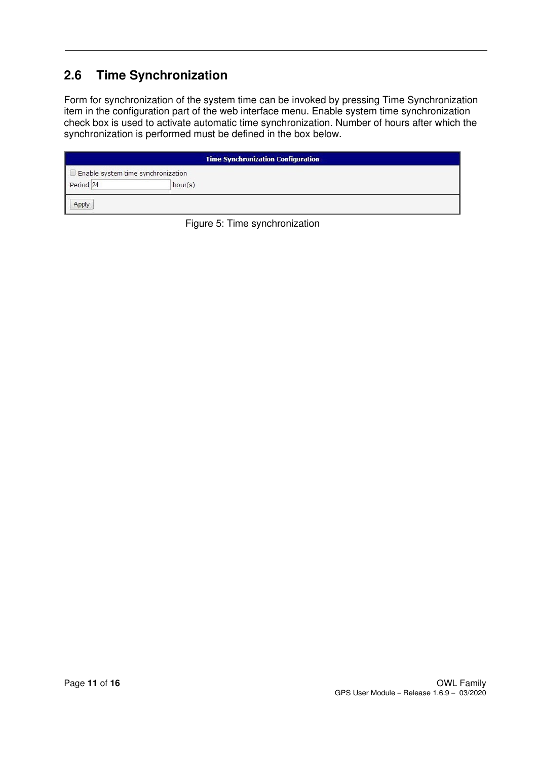### **2.6 Time Synchronization**

Form for synchronization of the system time can be invoked by pressing Time Synchronization item in the configuration part of the web interface menu. Enable system time synchronization check box is used to activate automatic time synchronization. Number of hours after which the synchronization is performed must be defined in the box below.

| <b>Time Synchronization Configuration</b> |         |  |  |
|-------------------------------------------|---------|--|--|
| Enable system time synchronization        |         |  |  |
| Period <sub>24</sub>                      | hour(s) |  |  |
| Apply                                     |         |  |  |

Figure 5: Time synchronization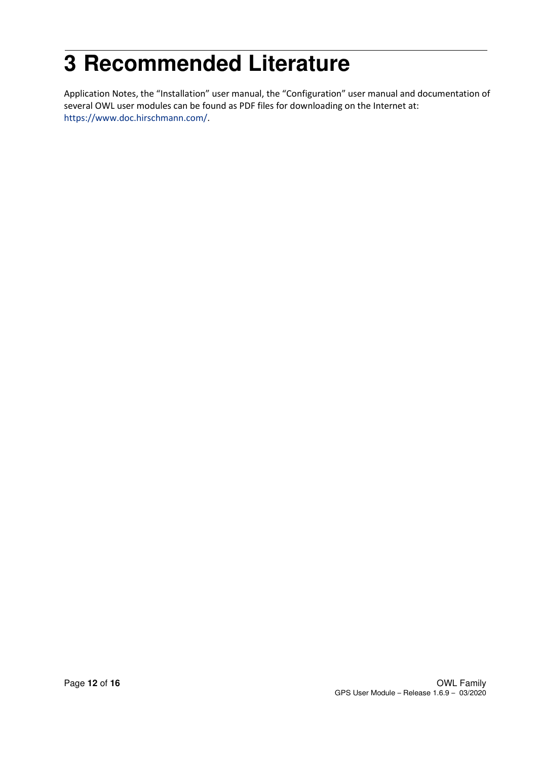## **3 Recommended Literature**

Application Notes, the "Installation" user manual, the "Configuration" user manual and documentation of several OWL user modules can be found as PDF files for downloading on the Internet at: https://www.doc.hirschmann.com/.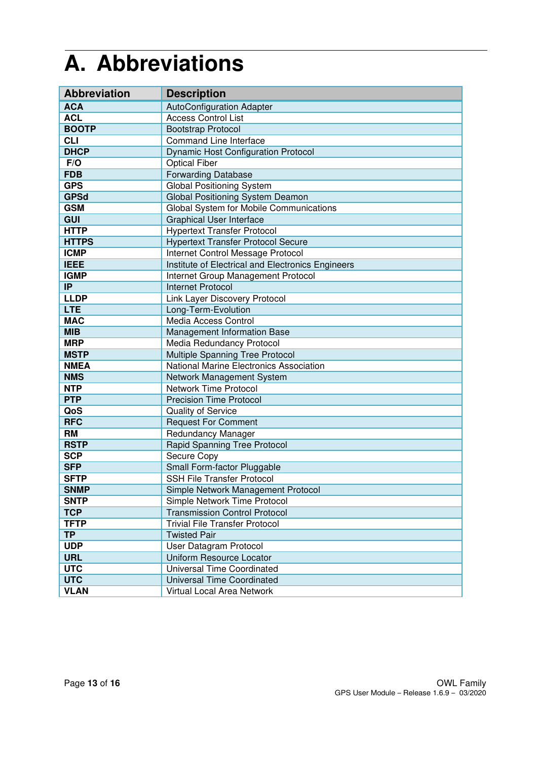## **A. Abbreviations**

| <b>Abbreviation</b> | <b>Description</b>                                |
|---------------------|---------------------------------------------------|
| <b>ACA</b>          | <b>AutoConfiguration Adapter</b>                  |
| <b>ACL</b>          | <b>Access Control List</b>                        |
| <b>BOOTP</b>        | <b>Bootstrap Protocol</b>                         |
| <b>CLI</b>          | <b>Command Line Interface</b>                     |
| <b>DHCP</b>         | <b>Dynamic Host Configuration Protocol</b>        |
| F/O                 | <b>Optical Fiber</b>                              |
| <b>FDB</b>          | <b>Forwarding Database</b>                        |
| <b>GPS</b>          | <b>Global Positioning System</b>                  |
| <b>GPSd</b>         | Global Positioning System Deamon                  |
| <b>GSM</b>          | Global System for Mobile Communications           |
| <b>GUI</b>          | <b>Graphical User Interface</b>                   |
| <b>HTTP</b>         | <b>Hypertext Transfer Protocol</b>                |
| <b>HTTPS</b>        | <b>Hypertext Transfer Protocol Secure</b>         |
| <b>ICMP</b>         | Internet Control Message Protocol                 |
| <b>IEEE</b>         | Institute of Electrical and Electronics Engineers |
| <b>IGMP</b>         | Internet Group Management Protocol                |
| IP                  | <b>Internet Protocol</b>                          |
| <b>LLDP</b>         | Link Layer Discovery Protocol                     |
| <b>LTE</b>          | Long-Term-Evolution                               |
| <b>MAC</b>          | Media Access Control                              |
| <b>MIB</b>          | Management Information Base                       |
| <b>MRP</b>          | Media Redundancy Protocol                         |
| <b>MSTP</b>         | Multiple Spanning Tree Protocol                   |
| <b>NMEA</b>         | National Marine Electronics Association           |
| <b>NMS</b>          | Network Management System                         |
| <b>NTP</b>          | <b>Network Time Protocol</b>                      |
| <b>PTP</b>          | <b>Precision Time Protocol</b>                    |
| QoS                 | <b>Quality of Service</b>                         |
| <b>RFC</b>          | <b>Request For Comment</b>                        |
| <b>RM</b>           | Redundancy Manager                                |
| <b>RSTP</b>         | Rapid Spanning Tree Protocol                      |
| <b>SCP</b>          | Secure Copy                                       |
| <b>SFP</b>          | Small Form-factor Pluggable                       |
| <b>SFTP</b>         | <b>SSH File Transfer Protocol</b>                 |
| <b>SNMP</b>         | Simple Network Management Protocol                |
| <b>SNTP</b>         | Simple Network Time Protocol                      |
| <b>TCP</b>          | <b>Transmission Control Protocol</b>              |
| <b>TFTP</b>         | <b>Trivial File Transfer Protocol</b>             |
| <b>TP</b>           | <b>Twisted Pair</b>                               |
| <b>UDP</b>          | User Datagram Protocol                            |
| <b>URL</b>          | Uniform Resource Locator                          |
| <b>UTC</b>          | Universal Time Coordinated                        |
| <b>UTC</b>          | <b>Universal Time Coordinated</b>                 |
| <b>VLAN</b>         | Virtual Local Area Network                        |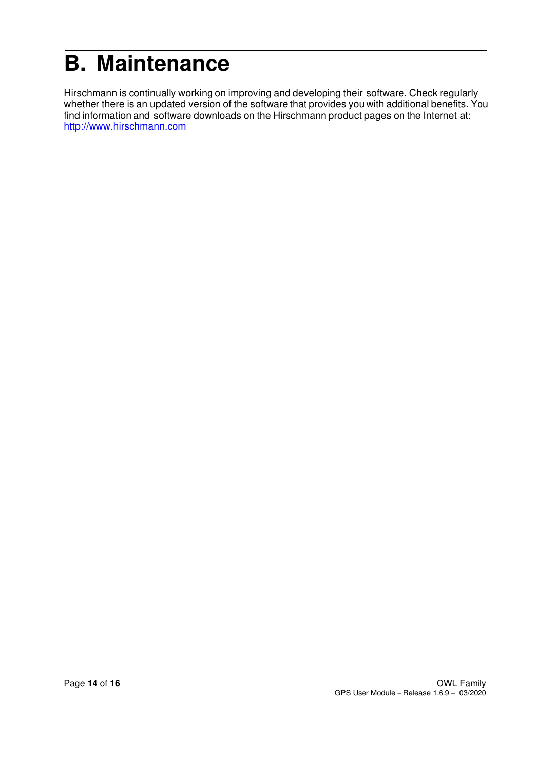## **B. Maintenance**

Hirschmann is continually working on improving and developing their software. Check regularly whether there is an updated version of the software that provides you with additional benefits. You find information and software downloads on the Hirschmann product pages on the Internet at: http://www.hirschmann.com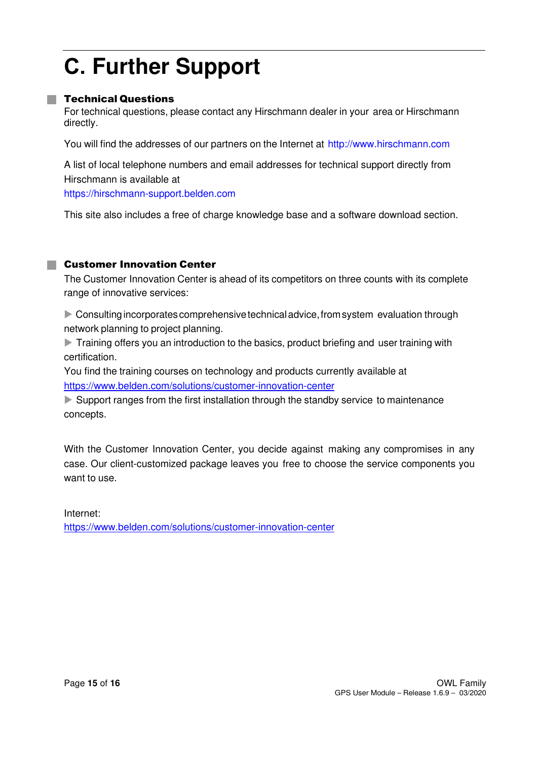## **C. Further Support**

#### **Technical Questions**

For technical questions, please contact any Hirschmann dealer in your area or Hirschmann directly.

You will find the addresses of our partners on the Internet at http://www.hirschmann.com

A list of local telephone numbers and email addresses for technical support directly from Hirschmann is available at

https://hirschmann-support.belden.com

This site also includes a free of charge knowledge base and a software download section.

#### **E** Customer Innovation Center

The Customer Innovation Center is ahead of its competitors on three counts with its complete range of innovative services:

Consulting incorporates comprehensive technical advice, from system evaluation through network planning to project planning.

Training offers you an introduction to the basics, product briefing and user training with certification.

You find the training courses on technology and products currently available at https://www.belden.com/solutions/customer-innovation-center

Support ranges from the first installation through the standby service to maintenance concepts.

With the Customer Innovation Center, you decide against making any compromises in any case. Our client-customized package leaves you free to choose the service components you want to use.

Internet: https://www.belden.com/solutions/customer-innovation-center